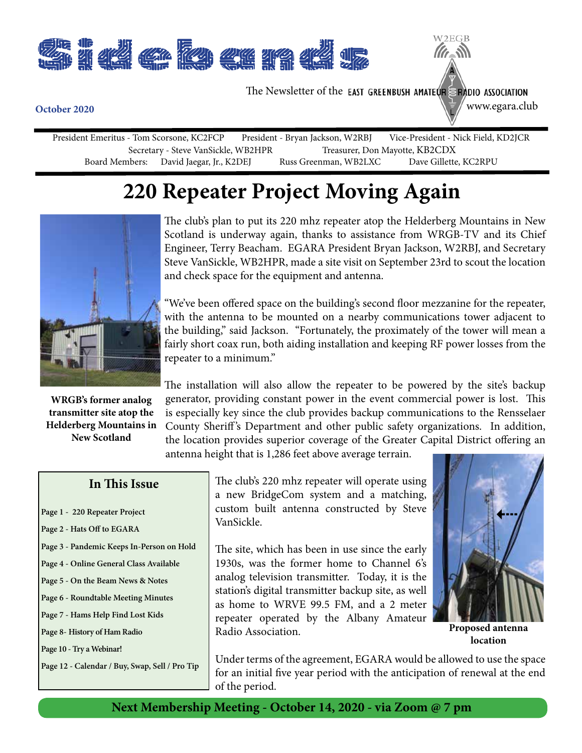

The Newsletter of the EAST GREENBUSH AMATEUR SRADIO ASSOCIATION

www.egara.club

W<sub>2</sub>EGB

President Emeritus - Tom Scorsone, KC2FCP President - Bryan Jackson, W2RBJ Vice-President - Nick Field, KD2JCR Secretary - Steve VanSickle, WB2HPR<br>Board Members: David Jaegar, Jr., K2DEJ Russ Greenman, WB2LXC Dave Gillette, KC2RPU David Jaegar, Jr., K2DEJ Russ Greenman, WB2LXC

## **220 Repeater Project Moving Again**



**WRGB's former analog transmitter site atop the Helderberg Mountains in New Scotland**

The club's plan to put its 220 mhz repeater atop the Helderberg Mountains in New Scotland is underway again, thanks to assistance from WRGB-TV and its Chief Engineer, Terry Beacham. EGARA President Bryan Jackson, W2RBJ, and Secretary Steve VanSickle, WB2HPR, made a site visit on September 23rd to scout the location and check space for the equipment and antenna.

"We've been offered space on the building's second floor mezzanine for the repeater, with the antenna to be mounted on a nearby communications tower adjacent to the building," said Jackson. "Fortunately, the proximately of the tower will mean a fairly short coax run, both aiding installation and keeping RF power losses from the repeater to a minimum."

The installation will also allow the repeater to be powered by the site's backup generator, providing constant power in the event commercial power is lost. This is especially key since the club provides backup communications to the Rensselaer County Sheriff 's Department and other public safety organizations. In addition, the location provides superior coverage of the Greater Capital District offering an antenna height that is 1,286 feet above average terrain.

#### **In This Issue**

- **Page 1 220 Repeater Project**
- **Page 2 Hats Off to EGARA**
- **Page 3 Pandemic Keeps In-Person on Hold**
- **Page 4 Online General Class Available**
- **Page 5 On the Beam News & Notes**
- **Page 6 Roundtable Meeting Minutes**
- **Page 7 Hams Help Find Lost Kids**
- **Page 8- History of Ham Radio**

**Page 10 - Try a Webinar!**

**Page 12 - Calendar / Buy, Swap, Sell / Pro Tip**

The club's 220 mhz repeater will operate using a new BridgeCom system and a matching, custom built antenna constructed by Steve VanSickle.

The site, which has been in use since the early 1930s, was the former home to Channel 6's analog television transmitter. Today, it is the station's digital transmitter backup site, as well as home to WRVE 99.5 FM, and a 2 meter repeater operated by the Albany Amateur Radio Association.



**Proposed antenna location**

Under terms of the agreement, EGARA would be allowed to use the space for an initial five year period with the anticipation of renewal at the end of the period.

#### **October 2020**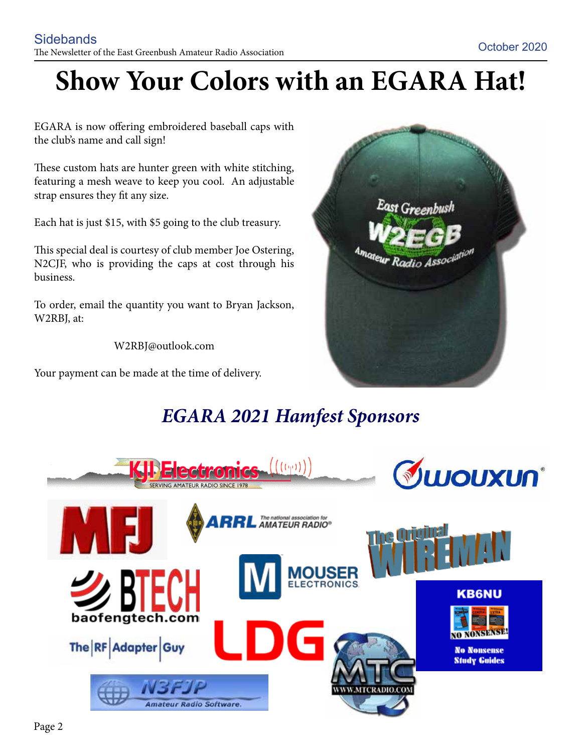## **Show Your Colors with an EGARA Hat!**

EGARA is now offering embroidered baseball caps with the club's name and call sign!

These custom hats are hunter green with white stitching, featuring a mesh weave to keep you cool. An adjustable strap ensures they fit any size.

Each hat is just \$15, with \$5 going to the club treasury.

This special deal is courtesy of club member Joe Ostering, N2CJF, who is providing the caps at cost through his business.

To order, email the quantity you want to Bryan Jackson, W2RBJ, at:

W2RBJ@outlook.com

Your payment can be made at the time of delivery.



## *EGARA 2021 Hamfest Sponsors*

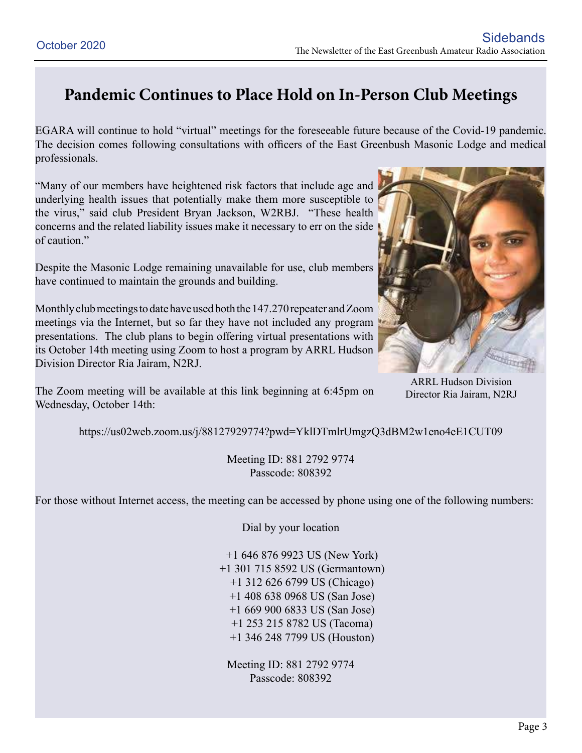### **Pandemic Continues to Place Hold on In-Person Club Meetings**

EGARA will continue to hold "virtual" meetings for the foreseeable future because of the Covid-19 pandemic. The decision comes following consultations with officers of the East Greenbush Masonic Lodge and medical professionals.

"Many of our members have heightened risk factors that include age and underlying health issues that potentially make them more susceptible to the virus," said club President Bryan Jackson, W2RBJ. "These health concerns and the related liability issues make it necessary to err on the side of caution."

Despite the Masonic Lodge remaining unavailable for use, club members have continued to maintain the grounds and building.

Monthly club meetings to date have used both the 147.270 repeater and Zoom meetings via the Internet, but so far they have not included any program presentations. The club plans to begin offering virtual presentations with its October 14th meeting using Zoom to host a program by ARRL Hudson Division Director Ria Jairam, N2RJ.

The Zoom meeting will be available at this link beginning at 6:45pm on Wednesday, October 14th:



ARRL Hudson Division Director Ria Jairam, N2RJ

https://us02web.zoom.us/j/88127929774?pwd=YklDTmlrUmgzQ3dBM2w1eno4eE1CUT09

Meeting ID: 881 2792 9774 Passcode: 808392

For those without Internet access, the meeting can be accessed by phone using one of the following numbers:

Dial by your location

 +1 646 876 9923 US (New York) +1 301 715 8592 US (Germantown) +1 312 626 6799 US (Chicago) +1 408 638 0968 US (San Jose) +1 669 900 6833 US (San Jose) +1 253 215 8782 US (Tacoma) +1 346 248 7799 US (Houston)

Meeting ID: 881 2792 9774 Passcode: 808392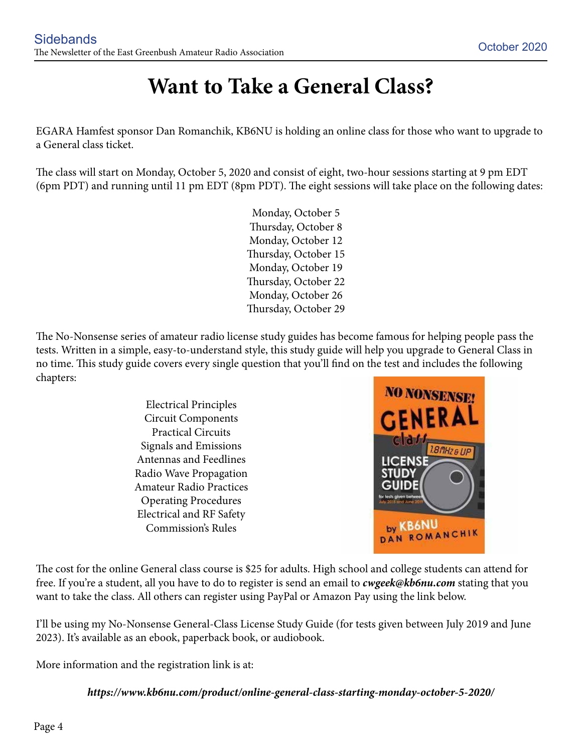## **Want to Take a General Class?**

EGARA Hamfest sponsor Dan Romanchik, KB6NU is holding an online class for those who want to upgrade to a General class ticket.

The class will start on Monday, October 5, 2020 and consist of eight, two-hour sessions starting at 9 pm EDT (6pm PDT) and running until 11 pm EDT (8pm PDT). The eight sessions will take place on the following dates:

> Monday, October 5 Thursday, October 8 Monday, October 12 Thursday, October 15 Monday, October 19 Thursday, October 22 Monday, October 26 Thursday, October 29

The No-Nonsense series of amateur radio license study guides has become famous for helping people pass the tests. Written in a simple, easy-to-understand style, this study guide will help you upgrade to General Class in no time. This study guide covers every single question that you'll find on the test and includes the following chapters:

> Electrical Principles Circuit Components Practical Circuits Signals and Emissions Antennas and Feedlines Radio Wave Propagation Amateur Radio Practices Operating Procedures Electrical and RF Safety Commission's Rules



The cost for the online General class course is \$25 for adults. High school and college students can attend for free. If you're a student, all you have to do to register is send an email to *cwgeek@kb6nu.com* stating that you want to take the class. All others can register using PayPal or Amazon Pay using the link below.

I'll be using my No-Nonsense General-Class License Study Guide (for tests given between July 2019 and June 2023). It's available as an ebook, paperback book, or audiobook.

More information and the registration link is at:

*https://www.kb6nu.com/product/online-general-class-starting-monday-october-5-2020/*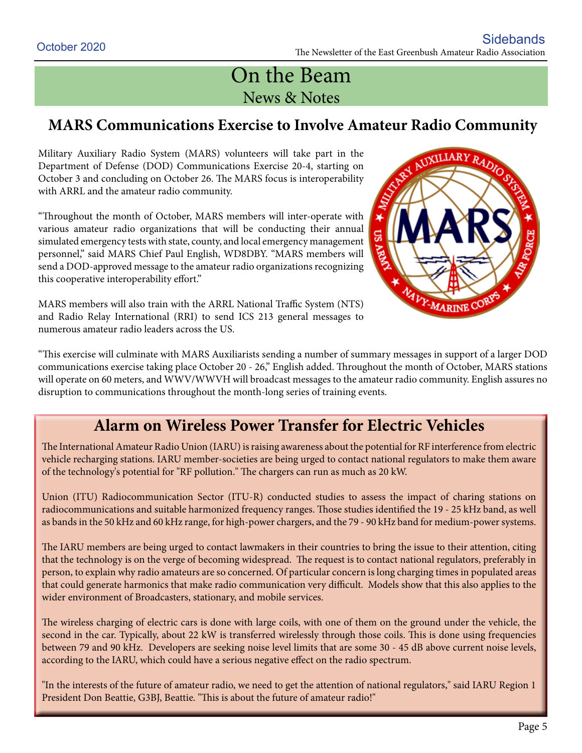## On the Beam News & Notes

#### **MARS Communications Exercise to Involve Amateur Radio Community**

Military Auxiliary Radio System (MARS) volunteers will take part in the Department of Defense (DOD) Communications Exercise 20-4, starting on October 3 and concluding on October 26. The MARS focus is interoperability with ARRL and the amateur radio community.

"Throughout the month of October, MARS members will inter-operate with various amateur radio organizations that will be conducting their annual simulated emergency tests with state, county, and local emergency management personnel," said MARS Chief Paul English, WD8DBY. "MARS members will send a DOD-approved message to the amateur radio organizations recognizing this cooperative interoperability effort."

MARS members will also train with the ARRL National Traffic System (NTS) and Radio Relay International (RRI) to send ICS 213 general messages to numerous amateur radio leaders across the US.



"This exercise will culminate with MARS Auxiliarists sending a number of summary messages in support of a larger DOD communications exercise taking place October 20 - 26," English added. Throughout the month of October, MARS stations will operate on 60 meters, and WWV/WWVH will broadcast messages to the amateur radio community. English assures no disruption to communications throughout the month-long series of training events.

#### **Alarm on Wireless Power Transfer for Electric Vehicles**

The International Amateur Radio Union (IARU) is raising awareness about the potential for RF interference from electric vehicle recharging stations. IARU member-societies are being urged to contact national regulators to make them aware of the technology's potential for "RF pollution." The chargers can run as much as 20 kW.

Union (ITU) Radiocommunication Sector (ITU-R) conducted studies to assess the impact of charing stations on radiocommunications and suitable harmonized frequency ranges. Those studies identified the 19 - 25 kHz band, as well as bands in the 50 kHz and 60 kHz range, for high-power chargers, and the 79 - 90 kHz band for medium-power systems.

The IARU members are being urged to contact lawmakers in their countries to bring the issue to their attention, citing that the technology is on the verge of becoming widespread. The request is to contact national regulators, preferably in person, to explain why radio amateurs are so concerned. Of particular concern is long charging times in populated areas that could generate harmonics that make radio communication very difficult. Models show that this also applies to the wider environment of Broadcasters, stationary, and mobile services.

The wireless charging of electric cars is done with large coils, with one of them on the ground under the vehicle, the second in the car. Typically, about 22 kW is transferred wirelessly through those coils. This is done using frequencies between 79 and 90 kHz. Developers are seeking noise level limits that are some 30 - 45 dB above current noise levels, according to the IARU, which could have a serious negative effect on the radio spectrum.

"In the interests of the future of amateur radio, we need to get the attention of national regulators," said IARU Region 1 President Don Beattie, G3BJ, Beattie. "This is about the future of amateur radio!"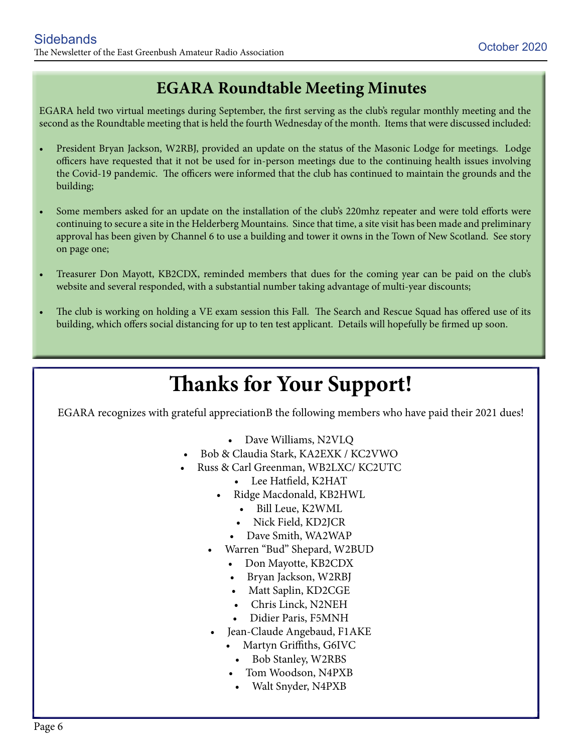#### **EGARA Roundtable Meeting Minutes**

EGARA held two virtual meetings during September, the first serving as the club's regular monthly meeting and the second as the Roundtable meeting that is held the fourth Wednesday of the month. Items that were discussed included:

- President Bryan Jackson, W2RBJ, provided an update on the status of the Masonic Lodge for meetings. Lodge officers have requested that it not be used for in-person meetings due to the continuing health issues involving the Covid-19 pandemic. The officers were informed that the club has continued to maintain the grounds and the building;
- Some members asked for an update on the installation of the club's 220mhz repeater and were told efforts were continuing to secure a site in the Helderberg Mountains. Since that time, a site visit has been made and preliminary approval has been given by Channel 6 to use a building and tower it owns in the Town of New Scotland. See story on page one;
- Treasurer Don Mayott, KB2CDX, reminded members that dues for the coming year can be paid on the club's website and several responded, with a substantial number taking advantage of multi-year discounts;
- The club is working on holding a VE exam session this Fall. The Search and Rescue Squad has offered use of its building, which offers social distancing for up to ten test applicant. Details will hopefully be firmed up soon.

## **Thanks for Your Support!**

EGARA recognizes with grateful appreciationB the following members who have paid their 2021 dues!

- Dave Williams, N2VLQ
- Bob & Claudia Stark, KA2EXK / KC2VWO
- Russ & Carl Greenman, WB2LXC/ KC2UTC
	- Lee Hatfield, K2HAT
	- Ridge Macdonald, KB2HWL
		- • Bill Leue, K2WML
		- Nick Field, KD2JCR
		- • Dave Smith, WA2WAP
	- Warren "Bud" Shepard, W2BUD
		- Don Mayotte, KB2CDX
		- Bryan Jackson, W2RBJ
		- Matt Saplin, KD2CGE
		- Chris Linck, N2NEH
		- Didier Paris, F5MNH
	- Jean-Claude Angebaud, F1AKE
		- Martyn Griffiths, G6IVC
		- • Bob Stanley, W2RBS
		- Tom Woodson, N4PXB
		- • Walt Snyder, N4PXB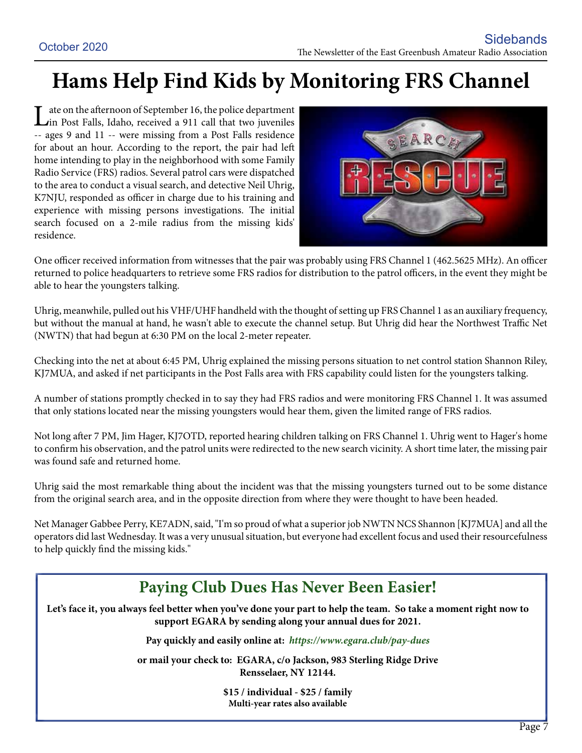## **Hams Help Find Kids by Monitoring FRS Channel**

Late on the afternoon of September 16, the police department<br>
in Post Falls, Idaho, received a 911 call that two juveniles -- ages 9 and 11 -- were missing from a Post Falls residence for about an hour. According to the report, the pair had left home intending to play in the neighborhood with some Family Radio Service (FRS) radios. Several patrol cars were dispatched to the area to conduct a visual search, and detective Neil Uhrig, K7NJU, responded as officer in charge due to his training and experience with missing persons investigations. The initial search focused on a 2-mile radius from the missing kids' residence.



One officer received information from witnesses that the pair was probably using FRS Channel 1 (462.5625 MHz). An officer returned to police headquarters to retrieve some FRS radios for distribution to the patrol officers, in the event they might be able to hear the youngsters talking.

Uhrig, meanwhile, pulled out his VHF/UHF handheld with the thought of setting up FRS Channel 1 as an auxiliary frequency, but without the manual at hand, he wasn't able to execute the channel setup. But Uhrig did hear the Northwest Traffic Net (NWTN) that had begun at 6:30 PM on the local 2-meter repeater.

Checking into the net at about 6:45 PM, Uhrig explained the missing persons situation to net control station Shannon Riley, KJ7MUA, and asked if net participants in the Post Falls area with FRS capability could listen for the youngsters talking.

A number of stations promptly checked in to say they had FRS radios and were monitoring FRS Channel 1. It was assumed that only stations located near the missing youngsters would hear them, given the limited range of FRS radios.

Not long after 7 PM, Jim Hager, KJ7OTD, reported hearing children talking on FRS Channel 1. Uhrig went to Hager's home to confirm his observation, and the patrol units were redirected to the new search vicinity. A short time later, the missing pair was found safe and returned home.

Uhrig said the most remarkable thing about the incident was that the missing youngsters turned out to be some distance from the original search area, and in the opposite direction from where they were thought to have been headed.

Net Manager Gabbee Perry, KE7ADN, said, "I'm so proud of what a superior job NWTN NCS Shannon [KJ7MUA] and all the operators did last Wednesday. It was a very unusual situation, but everyone had excellent focus and used their resourcefulness to help quickly find the missing kids."

### **Paying Club Dues Has Never Been Easier!**

Let's face it, you always feel better when you've done your part to help the team. So take a moment right now to **support EGARA by sending along your annual dues for 2021.**

**Pay quickly and easily online at:** *https://www.egara.club/pay-dues*

**or mail your check to: EGARA, c/o Jackson, 983 Sterling Ridge Drive Rensselaer, NY 12144.**

> **\$15 / individual - \$25 / family Multi-year rates also available**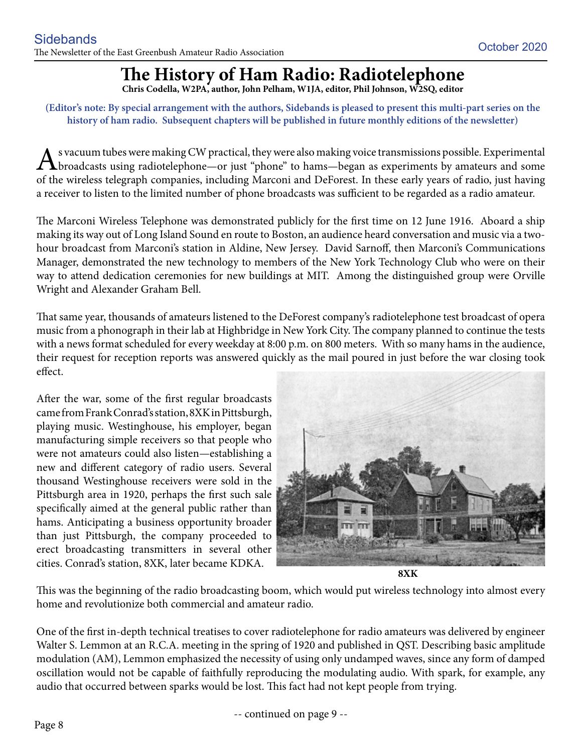## **The History of Ham Radio: Radiotelephone**

**Chris Codella, W2PA, author, John Pelham, W1JA, editor, Phil Johnson, W2SQ, editor**

**(Editor's note: By special arrangement with the authors, Sidebands is pleased to present this multi-part series on the history of ham radio. Subsequent chapters will be published in future monthly editions of the newsletter)**

As vacuum tubes were making CW practical, they were also making voice transmissions possible. Experimental<br>broadcasts using radiotelephone—or just "phone" to hams—began as experiments by amateurs and some<br>of the similar te of the wireless telegraph companies, including Marconi and DeForest. In these early years of radio, just having a receiver to listen to the limited number of phone broadcasts was sufficient to be regarded as a radio amateur.

The Marconi Wireless Telephone was demonstrated publicly for the first time on 12 June 1916. Aboard a ship making its way out of Long Island Sound en route to Boston, an audience heard conversation and music via a twohour broadcast from Marconi's station in Aldine, New Jersey. David Sarnoff, then Marconi's Communications Manager, demonstrated the new technology to members of the New York Technology Club who were on their way to attend dedication ceremonies for new buildings at MIT. Among the distinguished group were Orville Wright and Alexander Graham Bell.

That same year, thousands of amateurs listened to the DeForest company's radiotelephone test broadcast of opera music from a phonograph in their lab at Highbridge in New York City. The company planned to continue the tests with a news format scheduled for every weekday at 8:00 p.m. on 800 meters. With so many hams in the audience, their request for reception reports was answered quickly as the mail poured in just before the war closing took effect.

After the war, some of the first regular broadcasts came from Frank Conrad's station, 8XK in Pittsburgh, playing music. Westinghouse, his employer, began manufacturing simple receivers so that people who were not amateurs could also listen—establishing a new and different category of radio users. Several thousand Westinghouse receivers were sold in the Pittsburgh area in 1920, perhaps the first such sale specifically aimed at the general public rather than hams. Anticipating a business opportunity broader than just Pittsburgh, the company proceeded to erect broadcasting transmitters in several other cities. Conrad's station, 8XK, later became KDKA.



This was the beginning of the radio broadcasting boom, which would put wireless technology into almost every home and revolutionize both commercial and amateur radio.

One of the first in-depth technical treatises to cover radiotelephone for radio amateurs was delivered by engineer Walter S. Lemmon at an R.C.A. meeting in the spring of 1920 and published in QST. Describing basic amplitude modulation (AM), Lemmon emphasized the necessity of using only undamped waves, since any form of damped oscillation would not be capable of faithfully reproducing the modulating audio. With spark, for example, any audio that occurred between sparks would be lost. This fact had not kept people from trying.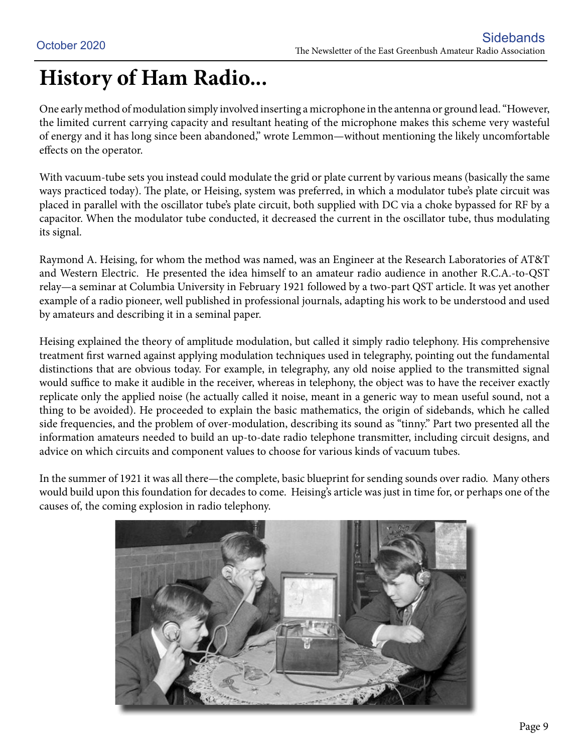## **History of Ham Radio...**

One early method of modulation simply involved inserting a microphone in the antenna or ground lead. "However, the limited current carrying capacity and resultant heating of the microphone makes this scheme very wasteful of energy and it has long since been abandoned," wrote Lemmon—without mentioning the likely uncomfortable effects on the operator.

With vacuum-tube sets you instead could modulate the grid or plate current by various means (basically the same ways practiced today). The plate, or Heising, system was preferred, in which a modulator tube's plate circuit was placed in parallel with the oscillator tube's plate circuit, both supplied with DC via a choke bypassed for RF by a capacitor. When the modulator tube conducted, it decreased the current in the oscillator tube, thus modulating its signal.

Raymond A. Heising, for whom the method was named, was an Engineer at the Research Laboratories of AT&T and Western Electric. He presented the idea himself to an amateur radio audience in another R.C.A.-to-QST relay—a seminar at Columbia University in February 1921 followed by a two-part QST article. It was yet another example of a radio pioneer, well published in professional journals, adapting his work to be understood and used by amateurs and describing it in a seminal paper.

Heising explained the theory of amplitude modulation, but called it simply radio telephony. His comprehensive treatment first warned against applying modulation techniques used in telegraphy, pointing out the fundamental distinctions that are obvious today. For example, in telegraphy, any old noise applied to the transmitted signal would suffice to make it audible in the receiver, whereas in telephony, the object was to have the receiver exactly replicate only the applied noise (he actually called it noise, meant in a generic way to mean useful sound, not a thing to be avoided). He proceeded to explain the basic mathematics, the origin of sidebands, which he called side frequencies, and the problem of over-modulation, describing its sound as "tinny." Part two presented all the information amateurs needed to build an up-to-date radio telephone transmitter, including circuit designs, and advice on which circuits and component values to choose for various kinds of vacuum tubes.

In the summer of 1921 it was all there—the complete, basic blueprint for sending sounds over radio. Many others would build upon this foundation for decades to come. Heising's article was just in time for, or perhaps one of the causes of, the coming explosion in radio telephony.

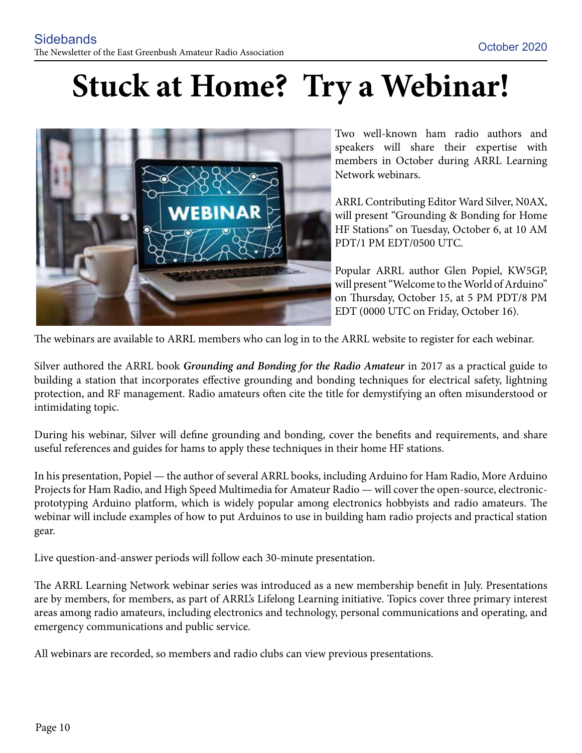## **Stuck at Home? Try a Webinar!**



Two well-known ham radio authors and speakers will share their expertise with members in October during ARRL Learning Network webinars.

ARRL Contributing Editor Ward Silver, N0AX, will present "Grounding & Bonding for Home HF Stations" on Tuesday, October 6, at 10 AM PDT/1 PM EDT/0500 UTC.

Popular ARRL author Glen Popiel, KW5GP, will present "Welcome to the World of Arduino" on Thursday, October 15, at 5 PM PDT/8 PM EDT (0000 UTC on Friday, October 16).

The webinars are available to ARRL members who can log in to the ARRL website to register for each webinar.

Silver authored the ARRL book *Grounding and Bonding for the Radio Amateur* in 2017 as a practical guide to building a station that incorporates effective grounding and bonding techniques for electrical safety, lightning protection, and RF management. Radio amateurs often cite the title for demystifying an often misunderstood or intimidating topic.

During his webinar, Silver will define grounding and bonding, cover the benefits and requirements, and share useful references and guides for hams to apply these techniques in their home HF stations.

In his presentation, Popiel — the author of several ARRL books, including Arduino for Ham Radio, More Arduino Projects for Ham Radio, and High Speed Multimedia for Amateur Radio — will cover the open-source, electronicprototyping Arduino platform, which is widely popular among electronics hobbyists and radio amateurs. The webinar will include examples of how to put Arduinos to use in building ham radio projects and practical station gear.

Live question-and-answer periods will follow each 30-minute presentation.

The ARRL Learning Network webinar series was introduced as a new membership benefit in July. Presentations are by members, for members, as part of ARRL's Lifelong Learning initiative. Topics cover three primary interest areas among radio amateurs, including electronics and technology, personal communications and operating, and emergency communications and public service.

All webinars are recorded, so members and radio clubs can view previous presentations.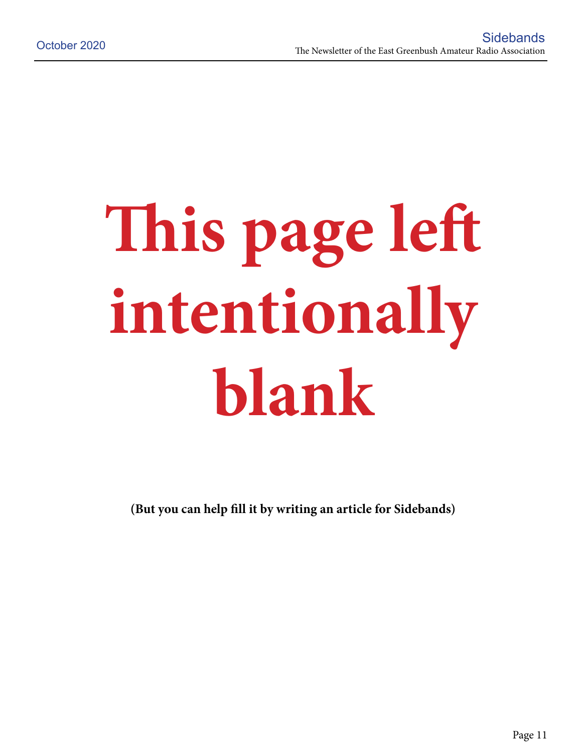# **This page left intentionally blank**

**(But you can help fill it by writing an article for Sidebands)**